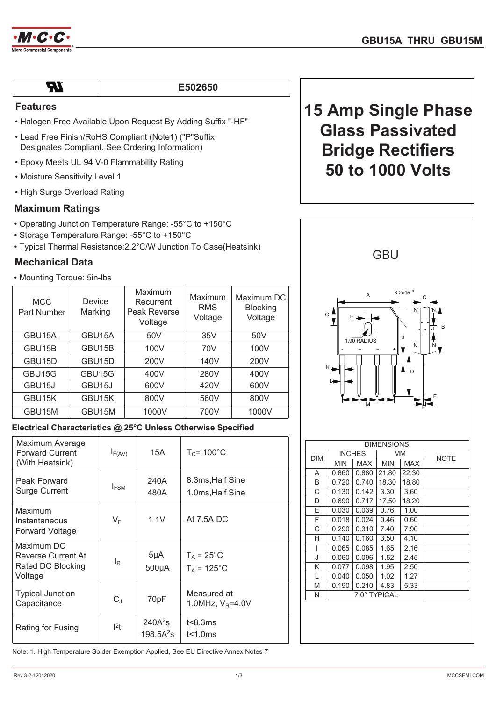



| ×          |  |
|------------|--|
| __<br>____ |  |

#### E502650

## **Features**

- Halogen Free Available Upon Request By Adding Suffix "-HF"
- Lead Free Finish/RoHS Compliant (Note1) ("P"Suffix Designates Compliant. See Ordering Information)
- Epoxy Meets UL 94 V-0 Flammability Rating
- Moisture Sensitivity Level 1
- High Surge Overload Rating

## **Maximum Ratings**

- Operating Junction Temperature Range: -55°C to +150°C
- Storage Temperature Range: -55°C to +150°C
- Typical Thermal Resistance: 2.2°C/W Junction To Case (Heatsink)

## **Mechanical Data**

• Mounting Torque: 5in-lbs

| <b>MCC</b><br>Part Number | Device<br>Marking | Maximum<br>Recurrent<br>Peak Reverse<br>Voltage | Maximum<br><b>RMS</b><br>Voltage | Maximum DC<br><b>Blocking</b><br>Voltage |
|---------------------------|-------------------|-------------------------------------------------|----------------------------------|------------------------------------------|
| GBU15A                    | GBU15A            | 50 <sub>V</sub>                                 | 35V                              | 50V                                      |
| GBU15B                    | GBU15B            | 100V                                            | 70V                              | 100V                                     |
| GBU15D                    | GBU15D            | 200V                                            | 140V                             | 200V                                     |
| GBU15G                    | GBU15G            | 400V                                            | 280V                             | 400V                                     |
| GBU <sub>15</sub> J       | GBU15J            | 600V                                            | 420V                             | 600V                                     |
| GBU15K                    | GBU15K            | 800V                                            | 560V                             | 800V                                     |
| GBU15M                    | GBU15M            | 1000V                                           | 700V                             | 1000V                                    |

## Electrical Characteristics @ 25°C Unless Otherwise Specified

| Maximum Average<br><b>Forward Current</b><br>(With Heatsink)     | $I_{F(AV)}$      | 15A                        | $T_c$ = 100 $^{\circ}$ C              |
|------------------------------------------------------------------|------------------|----------------------------|---------------------------------------|
| Peak Forward<br><b>Surge Current</b>                             | $I_{FSM}$        | 240A<br>480A               | 8.3ms, Half Sine<br>1.0ms, Half Sine  |
| Maximum<br>Instantaneous<br><b>Forward Voltage</b>               | $V_{\mathsf{F}}$ | 1.1V                       | At 7.5A DC                            |
| Maximum DC<br>Reverse Current At<br>Rated DC Blocking<br>Voltage | l <sub>R</sub>   | $5\mu A$<br>$500\mu A$     | $T_A = 25$ °C<br>$T_A = 125^{\circ}C$ |
| <b>Typical Junction</b><br>Capacitance                           | $C_{\text{J}}$   | 70pF                       | Measured at<br>1.0MHz, $V_R$ =4.0V    |
| Rating for Fusing                                                | 12t              | $240A^2s$<br>$198.5A^{2}s$ | t<8.3ms<br>t<1.0ms                    |

Note: 1. High Temperature Solder Exemption Applied, See EU Directive Annex Notes 7

# **15 Amp Single Phase Glass Passivated Bridge Rectifiers 50 to 1000 Volts**



| <b>DIMENSIONS</b> |               |            |              |            |             |
|-------------------|---------------|------------|--------------|------------|-------------|
| <b>DIM</b>        | <b>INCHES</b> |            | MM           |            | <b>NOTE</b> |
|                   | MIN           | <b>MAX</b> | <b>MIN</b>   | <b>MAX</b> |             |
| A                 | 0.860         | 0.880      | 21.80        | 22.30      |             |
| B                 | 0.720         | 0.740      | 18.30        | 18.80      |             |
| C                 | 0.130         | 0.142      | 3.30         | 3.60       |             |
| D                 | 0.690         | 0.717      | 17.50        | 18.20      |             |
| E                 | 0.030         | 0.039      | 0.76         | 1.00       |             |
| F                 | 0.018         | 0.024      | 0.46         | 0.60       |             |
| G                 | 0.290         | 0.310      | 7.40         | 7.90       |             |
| н                 | 0.140         | 0.160      | 3.50         | 4.10       |             |
| I                 | 0.065         | 0.085      | 1.65         | 2.16       |             |
| J                 | 0.060         | 0.096      | 1.52         | 2.45       |             |
| Κ                 | 0.077         | 0.098      | 1.95         | 2.50       |             |
| L                 | 0.040         | 0.050      | 1.02         | 1.27       |             |
| M                 | 0.190         | 0.210      | 4.83         | 5.33       |             |
| N                 |               |            | 7.0° TYPICAL |            |             |
|                   |               |            |              |            |             |
|                   |               |            |              |            |             |
|                   |               |            |              |            |             |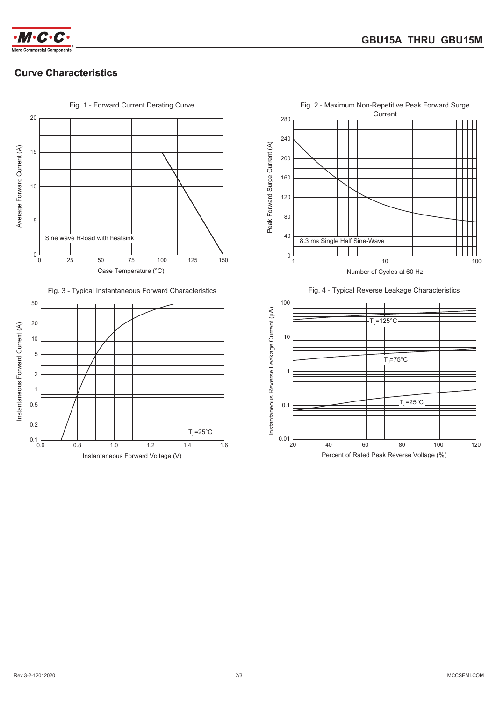



## **Curve Characteristics**











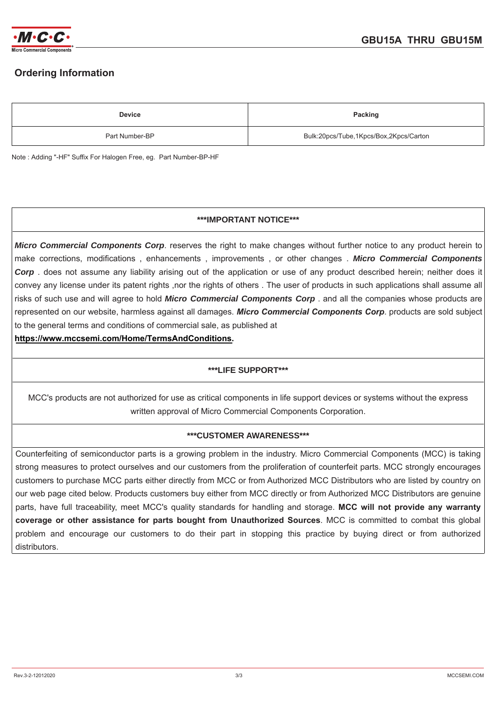

## **2Drdering Information**

| <b>Device</b>  | Packing                                |
|----------------|----------------------------------------|
| Part Number-BP | Bulk:20pcs/Tube,1Kpcs/Box,2Kpcs/Carton |

Note: Adding "-HF" Suffix For Halogen Free, eg. Part Number-BP-HF

## **\*\*\*IMPORTANT NOTICE\*\*\***

*Micro Commercial Components Corp*. reserves the right to make changes without further notice to any product herein to make corrections, modifications , enhancements , improvements , or other changes . *Micro Commercial Components Corp* . does not assume any liability arising out of the application or use of any product described herein; neither does it convey any license under its patent rights ,nor the rights of others. The user of products in such applications shall assume all risks of such use and will agree to hold *Micro Commercial Components Corp* . and all the companies whose products are represented on our website, harmless against all damages. *Micro Commercial Components Corp*. products are sold subject to the general terms and conditions of commercial sale, as published at

**https://www.mccsemi.com/Home/TermsAndConditions.**

## **\*\*\*LIFE SUPPORT\*\*\***

MCC's products are not authorized for use as critical components in life support devices or systems without the express written approval of Micro Commercial Components Corporation.

## **\*\*\*CUSTOMER AWARENESS\*\*\***

Counterfeiting of semiconductor parts is a growing problem in the industry. Micro Commercial Components (MCC) is taking strong measures to protect ourselves and our customers from the proliferation of counterfeit parts. MCC strongly encourages customers to purchase MCC parts either directly from MCC or from Authorized MCC Distributors who are listed by country on our web page cited below. Products customers buy either from MCC directly or from Authorized MCC Distributors are genuine parts, have full traceability, meet MCC's quality standards for handling and storage. **MCC will not provide any warranty coverage or other assistance for parts bought from Unauthorized Sources**. MCC is committed to combat this global problem and encourage our customers to do their part in stopping this practice by buying direct or from authorized distributors.